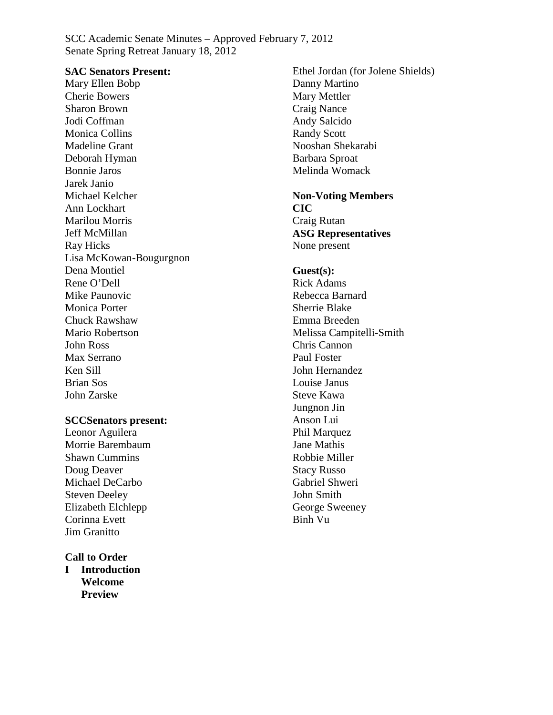SCC Academic Senate Minutes – Approved February 7, 2012 Senate Spring Retreat January 18, 2012

#### **SAC Senators Present:**

Mary Ellen Bobp Cherie Bowers Sharon Brown Jodi Coffman Monica Collins Madeline Grant Deborah Hyman Bonnie Jaros Jarek Janio Michael Kelcher Ann Lockhart Marilou Morris Jeff McMillan Ray Hicks Lisa McKowan-Bougurgnon Dena Montiel Rene O'Dell Mike Paunovic Monica Porter Chuck Rawshaw Mario Robertson John Ross Max Serrano Ken Sill Brian Sos John Zarske

#### **SCCSenators present:**

Leonor Aguilera Morrie Barembaum Shawn Cummins Doug Deaver Michael DeCarbo Steven Deeley Elizabeth Elchlepp Corinna Evett Jim Granitto

#### **Call to Order**

**I Introduction Welcome Preview**

Ethel Jordan (for Jolene Shields) Danny Martino Mary Mettler Craig Nance Andy Salcido Randy Scott Nooshan Shekarabi Barbara Sproat Melinda Womack **Non-Voting Members CIC**

Craig Rutan **ASG Representatives** None present

#### **Guest(s):**

Rick Adams Rebecca Barnard Sherrie Blake Emma Breeden Melissa Campitelli-Smith Chris Cannon Paul Foster John Hernandez Louise Janus Steve Kawa Jungnon Jin Anson Lui Phil Marquez Jane Mathis Robbie Miller Stacy Russo Gabriel Shweri John Smith George Sweeney Binh Vu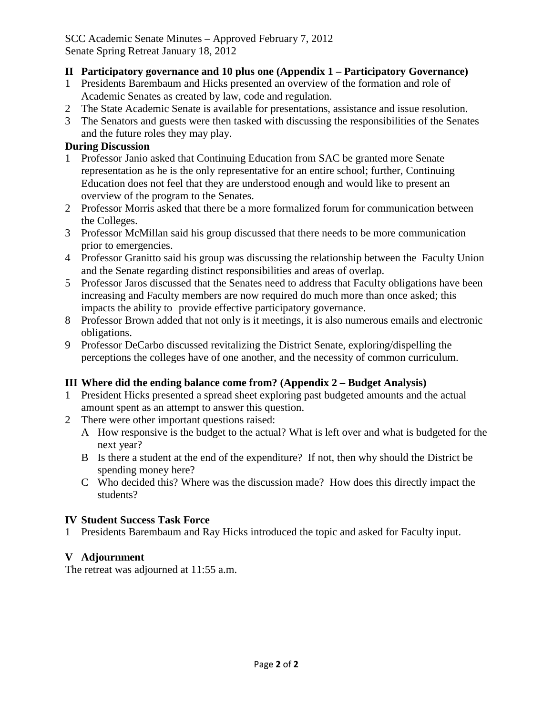## SCC Academic Senate Minutes – Approved February 7, 2012 Senate Spring Retreat January 18, 2012

## **II Participatory governance and 10 plus one (Appendix 1 – Participatory Governance)**

- 1 Presidents Barembaum and Hicks presented an overview of the formation and role of Academic Senates as created by law, code and regulation.
- 2 The State Academic Senate is available for presentations, assistance and issue resolution.
- 3 The Senators and guests were then tasked with discussing the responsibilities of the Senates and the future roles they may play.

## **During Discussion**

- 1 Professor Janio asked that Continuing Education from SAC be granted more Senate representation as he is the only representative for an entire school; further, Continuing Education does not feel that they are understood enough and would like to present an overview of the program to the Senates.
- 2 Professor Morris asked that there be a more formalized forum for communication between the Colleges.
- 3 Professor McMillan said his group discussed that there needs to be more communication prior to emergencies.
- 4 Professor Granitto said his group was discussing the relationship between the Faculty Union and the Senate regarding distinct responsibilities and areas of overlap.
- 5 Professor Jaros discussed that the Senates need to address that Faculty obligations have been increasing and Faculty members are now required do much more than once asked; this impacts the ability to provide effective participatory governance.
- 8 Professor Brown added that not only is it meetings, it is also numerous emails and electronic obligations.
- 9 Professor DeCarbo discussed revitalizing the District Senate, exploring/dispelling the perceptions the colleges have of one another, and the necessity of common curriculum.

## **III Where did the ending balance come from? (Appendix 2 – Budget Analysis)**

- 1 President Hicks presented a spread sheet exploring past budgeted amounts and the actual amount spent as an attempt to answer this question.
- 2 There were other important questions raised:
	- A How responsive is the budget to the actual? What is left over and what is budgeted for the next year?
	- B Is there a student at the end of the expenditure? If not, then why should the District be spending money here?
	- C Who decided this? Where was the discussion made? How does this directly impact the students?

## **IV Student Success Task Force**

1 Presidents Barembaum and Ray Hicks introduced the topic and asked for Faculty input.

## **V Adjournment**

The retreat was adjourned at 11:55 a.m.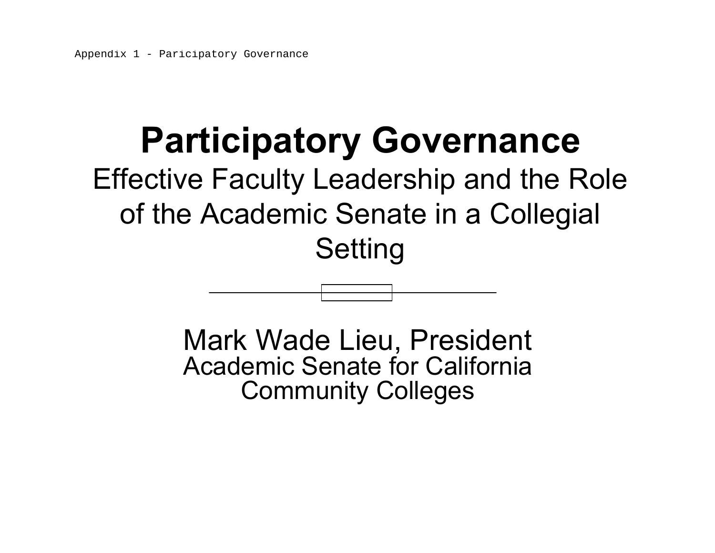# **Participatory Governance**

## Effective Faculty Leadership and the Role of the Academic Senate in a Collegial **Setting**

Mark Wade Lieu, President Academic Senate for California Community Colleges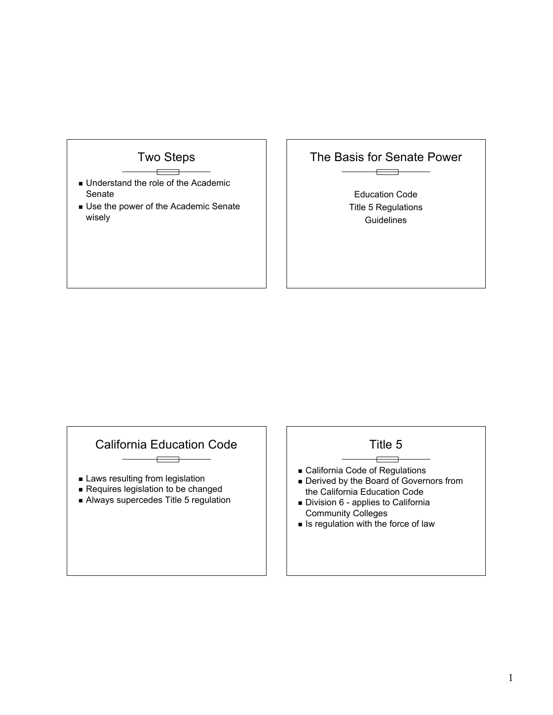

- **. Understand the role of the Academic** Senate
- **. Use the power of the Academic Senate** wisely

## The Basis for Senate Power

 $\overline{\phantom{a}}$ 

Education Code Title 5 Regulations **Guidelines** 

## California Education Code

 $\overline{a}$ 

- **E** Laws resulting from legislation
- **Requires legislation to be changed**
- **Always supercedes Title 5 regulation**

#### Title 5  $\overline{\phantom{a}}$

- ! California Code of Regulations
- **Derived by the Board of Governors from** the California Education Code
- **Division 6 applies to California** Community Colleges
- $\blacksquare$  Is regulation with the force of law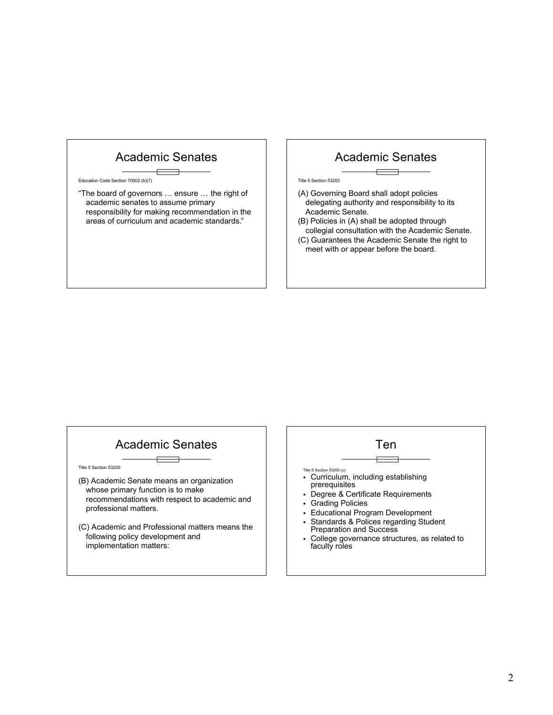## Academic Senates

Education Code Section 70902 (b)(7)

"The board of governors … ensure … the right of academic senates to assume primary responsibility for making recommendation in the areas of curriculum and academic standards."

## Academic Senates

#### Title 5 Section 53203

- (A) Governing Board shall adopt policies delegating authority and responsibility to its Academic Senate.
- (B) Policies in (A) shall be adopted through collegial consultation with the Academic Senate.
- (C) Guarantees the Academic Senate the right to meet with or appear before the board.

## Academic Senates

Title 5 Section 53200

- (B) Academic Senate means an organization whose primary function is to make recommendations with respect to academic and professional matters.
- (C) Academic and Professional matters means the following policy development and implementation matters:

#### Ten

 $\Box$ 

Title 5 Section 53200 (c)

- " Curriculum, including establishing
- prerequisites
- " Degree & Certificate Requirements
- **Grading Policies**
- Educational Program Development
- " Standards & Polices regarding Student Preparation and Success
- College governance structures, as related to faculty roles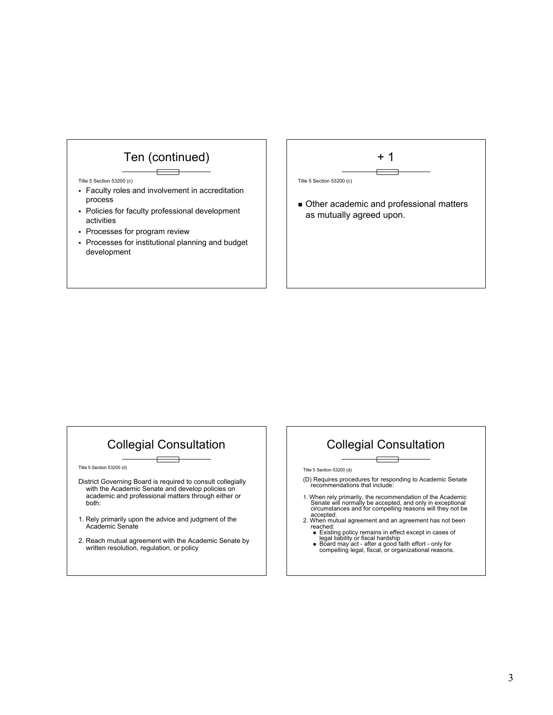



## Collegial Consultation

Title 5 Section 53200 (d)

- District Governing Board is required to consult collegially with the Academic Senate and develop policies on academic and professional matters through either or both:
- 1. Rely primarily upon the advice and judgment of the Academic Senate
- 2. Reach mutual agreement with the Academic Senate by written resolution, regulation, or policy

## Collegial Consultation

Title 5 Section 53200 (d)

- (D) Requires procedures for responding to Academic Senate recommendations that include:
- 1. When rely primarily, the recommendation of the Academic<br>Senate will normally be accepted, and only in exceptional<br>circumstances and for compelling reasons will they not be<br>accepted.<br>2. When mutual agreement and an agree
- 
- reached:<br> **Existing policy remains in effect except in cases of**<br>
legal liability or fiscal hardship<br> **Board may act after a good faith effort only for<br>
compelling legal, fiscal, or organizational reasons.**
-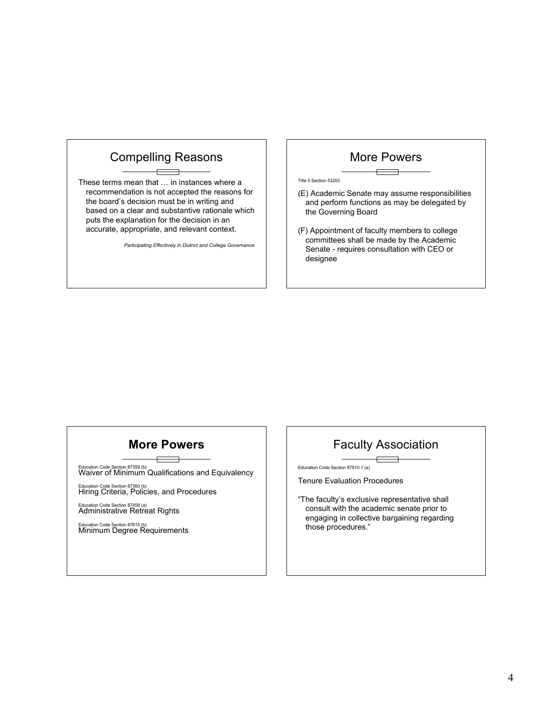## Compelling Reasons

These terms mean that … in instances where a recommendation is not accepted the reasons for the board's decision must be in writing and based on a clear and substantive rationale which puts the explanation for the decision in an accurate, appropriate, and relevant context.

*Participating Effectively in District and College Governance*

#### More Powers

Title 5 Section 53203

- (E) Academic Senate may assume responsibilities and perform functions as may be delegated by the Governing Board
- (F) Appointment of faculty members to college committees shall be made by the Academic Senate - requires consultation with CEO or designee

## **More Powers**

Education Code Section 87359 (b) Waiver of Minimum Qualifications and Equivalency

Education Code Section 87360 (b) Hiring Criteria, Policies, and Procedures

Education Code Section 87458 (a) Administrative Retreat Rights

Education Code Section 87615 (b) Minimum Degree Requirements

## Faculty Association

Education Code Section 87610.1 (a)

Tenure Evaluation Procedures

"The faculty's exclusive representative shall consult with the academic senate prior to engaging in collective bargaining regarding those procedures."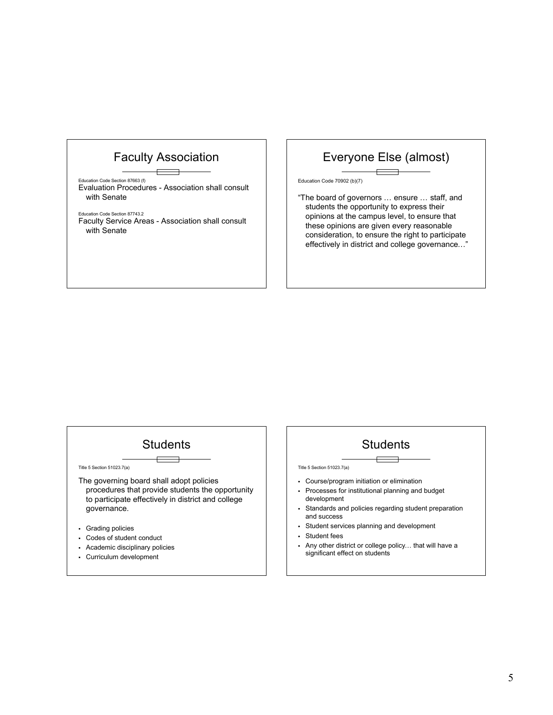## Faculty Association

Education Code Section 87663 (f) Evaluation Procedures - Association shall consult with Senate

Education Code Section 87743.2 Faculty Service Areas - Association shall consult with Senate

## Everyone Else (almost)

Education Code 70902 (b)(7)

"The board of governors … ensure … staff, and students the opportunity to express their opinions at the campus level, to ensure that these opinions are given every reasonable consideration, to ensure the right to participate effectively in district and college governance…"

## **Students**

Title 5 Section 51023.7(a)

- The governing board shall adopt policies procedures that provide students the opportunity to participate effectively in district and college governance.
- " Grading policies
- Codes of student conduct
- " Academic disciplinary policies
- **Curriculum development**

## **Students**

Title 5 Section 51023.7(a)

- Course/program initiation or elimination
- Processes for institutional planning and budget development
- " Standards and policies regarding student preparation and success
- Student services planning and development
- Student fees
- . Any other district or college policy... that will have a significant effect on students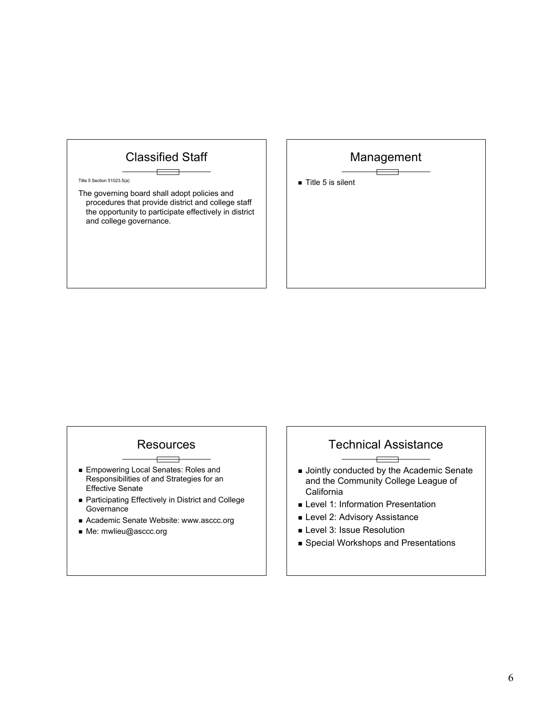## Classified Staff

#### Title 5 Section 51023.5(a)

The governing board shall adopt policies and procedures that provide district and college staff the opportunity to participate effectively in district and college governance.

## Management

 $\blacksquare$  Title 5 is silent

## **Resources**

- **Empowering Local Senates: Roles and** Responsibilities of and Strategies for an Effective Senate
- ! Participating Effectively in District and College **Governance**
- ! Academic Senate Website: www.asccc.org
- ! Me: mwlieu@asccc.org

## Technical Assistance

- **.** Jointly conducted by the Academic Senate and the Community College League of **California**
- **E** Level 1: Information Presentation
- **Level 2: Advisory Assistance**
- **E** Level 3: Issue Resolution
- **E** Special Workshops and Presentations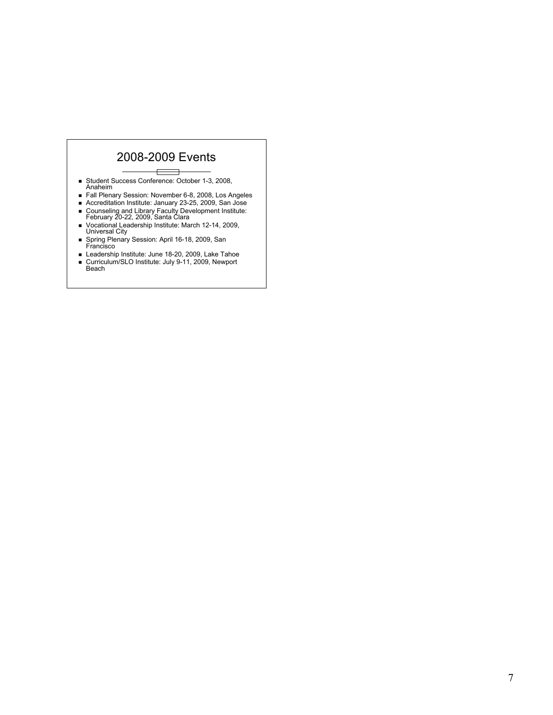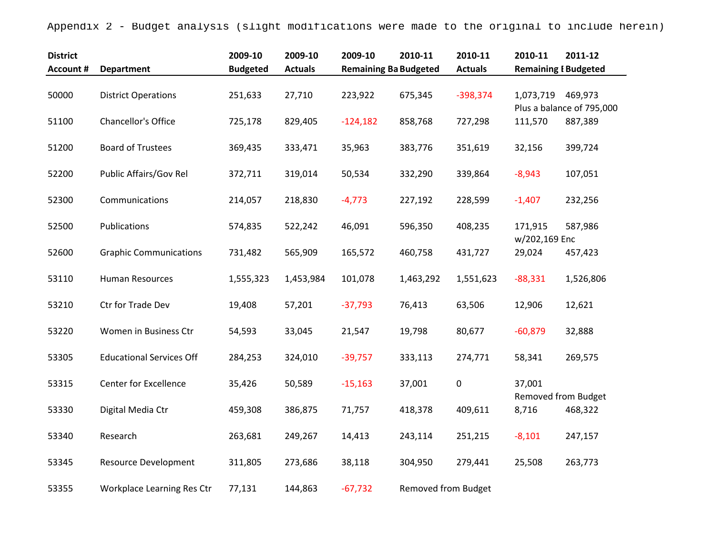Appendix 2 - Budget analysis (slight modifications were made to the original to include herein)

| <b>District</b><br><b>Account #</b> | <b>Department</b>               | 2009-10<br><b>Budgeted</b> | 2009-10<br><b>Actuals</b> | 2009-10<br><b>Remaining Ba Budgeted</b> | 2010-11                    | 2010-11<br><b>Actuals</b> | 2010-11<br><b>Remaining I Budgeted</b> | 2011-12                              |
|-------------------------------------|---------------------------------|----------------------------|---------------------------|-----------------------------------------|----------------------------|---------------------------|----------------------------------------|--------------------------------------|
| 50000                               | <b>District Operations</b>      | 251,633                    | 27,710                    | 223,922                                 | 675,345                    | $-398,374$                | 1,073,719                              | 469,973<br>Plus a balance of 795,000 |
| 51100                               | Chancellor's Office             | 725,178                    | 829,405                   | $-124,182$                              | 858,768                    | 727,298                   | 111,570                                | 887,389                              |
| 51200                               | <b>Board of Trustees</b>        | 369,435                    | 333,471                   | 35,963                                  | 383,776                    | 351,619                   | 32,156                                 | 399,724                              |
| 52200                               | Public Affairs/Gov Rel          | 372,711                    | 319,014                   | 50,534                                  | 332,290                    | 339,864                   | $-8,943$                               | 107,051                              |
| 52300                               | Communications                  | 214,057                    | 218,830                   | $-4,773$                                | 227,192                    | 228,599                   | $-1,407$                               | 232,256                              |
| 52500                               | Publications                    | 574,835                    | 522,242                   | 46,091                                  | 596,350                    | 408,235                   | 171,915                                | 587,986                              |
| 52600                               | <b>Graphic Communications</b>   | 731,482                    | 565,909                   | 165,572                                 | 460,758                    | 431,727                   | w/202,169 Enc<br>29,024                | 457,423                              |
| 53110                               | Human Resources                 | 1,555,323                  | 1,453,984                 | 101,078                                 | 1,463,292                  | 1,551,623                 | $-88,331$                              | 1,526,806                            |
| 53210                               | Ctr for Trade Dev               | 19,408                     | 57,201                    | $-37,793$                               | 76,413                     | 63,506                    | 12,906                                 | 12,621                               |
| 53220                               | Women in Business Ctr           | 54,593                     | 33,045                    | 21,547                                  | 19,798                     | 80,677                    | $-60,879$                              | 32,888                               |
| 53305                               | <b>Educational Services Off</b> | 284,253                    | 324,010                   | $-39,757$                               | 333,113                    | 274,771                   | 58,341                                 | 269,575                              |
| 53315                               | <b>Center for Excellence</b>    | 35,426                     | 50,589                    | $-15,163$                               | 37,001                     | $\mathbf 0$               | 37,001<br><b>Removed from Budget</b>   |                                      |
| 53330                               | Digital Media Ctr               | 459,308                    | 386,875                   | 71,757                                  | 418,378                    | 409,611                   | 8,716                                  | 468,322                              |
| 53340                               | Research                        | 263,681                    | 249,267                   | 14,413                                  | 243,114                    | 251,215                   | $-8,101$                               | 247,157                              |
| 53345                               | <b>Resource Development</b>     | 311,805                    | 273,686                   | 38,118                                  | 304,950                    | 279,441                   | 25,508                                 | 263,773                              |
| 53355                               | Workplace Learning Res Ctr      | 77,131                     | 144,863                   | $-67,732$                               | <b>Removed from Budget</b> |                           |                                        |                                      |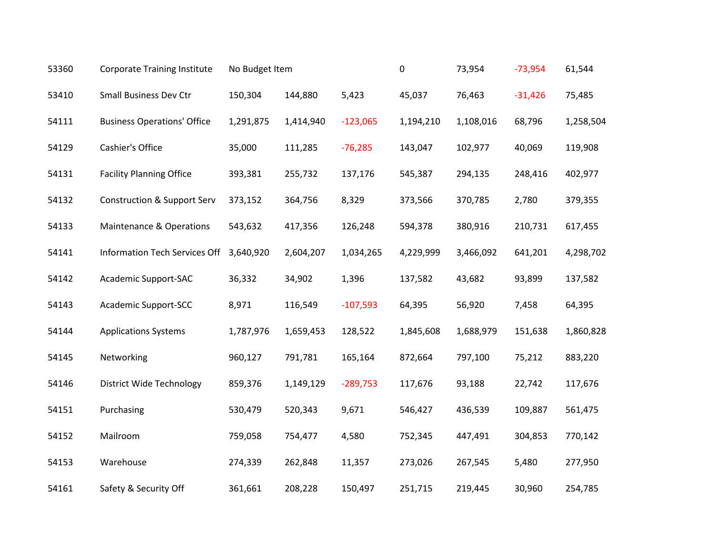| 53360 | <b>Corporate Training Institute</b>    | No Budget Item |           |            | 0         | 73,954    | $-73,954$ | 61,544    |
|-------|----------------------------------------|----------------|-----------|------------|-----------|-----------|-----------|-----------|
| 53410 | <b>Small Business Dev Ctr</b>          | 150,304        | 144,880   | 5,423      | 45,037    | 76,463    | $-31,426$ | 75,485    |
| 54111 | <b>Business Operations' Office</b>     | 1,291,875      | 1,414,940 | $-123,065$ | 1,194,210 | 1,108,016 | 68,796    | 1,258,504 |
| 54129 | Cashier's Office                       | 35,000         | 111,285   | $-76,285$  | 143,047   | 102,977   | 40,069    | 119,908   |
| 54131 | <b>Facility Planning Office</b>        | 393,381        | 255,732   | 137,176    | 545,387   | 294,135   | 248,416   | 402,977   |
| 54132 | <b>Construction &amp; Support Serv</b> | 373,152        | 364,756   | 8,329      | 373,566   | 370,785   | 2,780     | 379,355   |
| 54133 | <b>Maintenance &amp; Operations</b>    | 543,632        | 417,356   | 126,248    | 594,378   | 380,916   | 210,731   | 617,455   |
| 54141 | Information Tech Services Off          | 3,640,920      | 2,604,207 | 1,034,265  | 4,229,999 | 3,466,092 | 641,201   | 4,298,702 |
| 54142 | Academic Support-SAC                   | 36,332         | 34,902    | 1,396      | 137,582   | 43,682    | 93,899    | 137,582   |
| 54143 | <b>Academic Support-SCC</b>            | 8,971          | 116,549   | $-107,593$ | 64,395    | 56,920    | 7,458     | 64,395    |
| 54144 | <b>Applications Systems</b>            | 1,787,976      | 1,659,453 | 128,522    | 1,845,608 | 1,688,979 | 151,638   | 1,860,828 |
| 54145 | Networking                             | 960,127        | 791,781   | 165,164    | 872,664   | 797,100   | 75,212    | 883,220   |
| 54146 | <b>District Wide Technology</b>        | 859,376        | 1,149,129 | $-289,753$ | 117,676   | 93,188    | 22,742    | 117,676   |
| 54151 | Purchasing                             | 530,479        | 520,343   | 9,671      | 546,427   | 436,539   | 109,887   | 561,475   |
| 54152 | Mailroom                               | 759,058        | 754,477   | 4,580      | 752,345   | 447,491   | 304,853   | 770,142   |
| 54153 | Warehouse                              | 274,339        | 262,848   | 11,357     | 273,026   | 267,545   | 5,480     | 277,950   |
| 54161 | Safety & Security Off                  | 361,661        | 208,228   | 150,497    | 251,715   | 219,445   | 30,960    | 254,785   |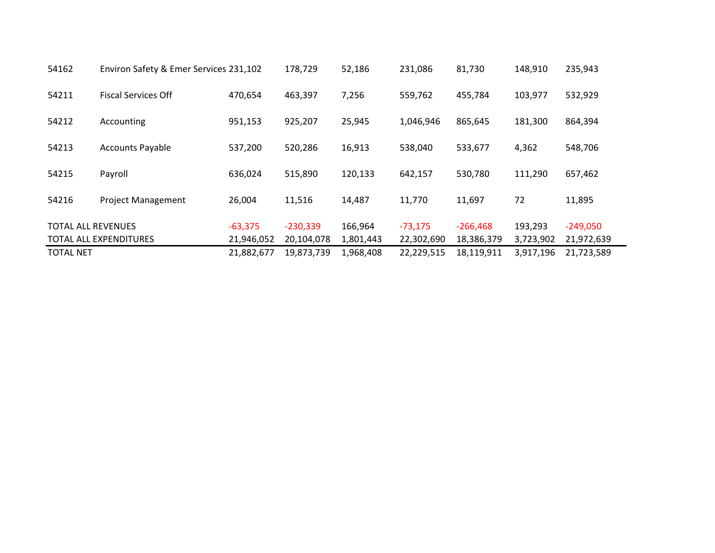| 54162                     | Environ Safety & Emer Services 231,102 |            | 178,729    | 52,186    | 231,086    | 81,730     | 148,910   | 235,943    |
|---------------------------|----------------------------------------|------------|------------|-----------|------------|------------|-----------|------------|
| 54211                     | <b>Fiscal Services Off</b>             | 470,654    | 463,397    | 7,256     | 559,762    | 455,784    | 103,977   | 532,929    |
| 54212                     | Accounting                             | 951,153    | 925,207    | 25,945    | 1,046,946  | 865,645    | 181,300   | 864,394    |
| 54213                     | <b>Accounts Payable</b>                | 537,200    | 520,286    | 16,913    | 538,040    | 533,677    | 4,362     | 548,706    |
| 54215                     | Payroll                                | 636,024    | 515,890    | 120,133   | 642,157    | 530,780    | 111,290   | 657,462    |
| 54216                     | <b>Project Management</b>              | 26,004     | 11,516     | 14,487    | 11,770     | 11,697     | 72        | 11,895     |
| <b>TOTAL ALL REVENUES</b> |                                        | $-63,375$  | $-230,339$ | 166,964   | $-73,175$  | $-266,468$ | 193,293   | $-249,050$ |
|                           | <b>TOTAL ALL EXPENDITURES</b>          | 21,946,052 | 20,104,078 | 1,801,443 | 22,302,690 | 18,386,379 | 3,723,902 | 21,972,639 |
| <b>TOTAL NET</b>          |                                        | 21,882,677 | 19,873,739 | 1,968,408 | 22,229,515 | 18,119,911 | 3,917,196 | 21,723,589 |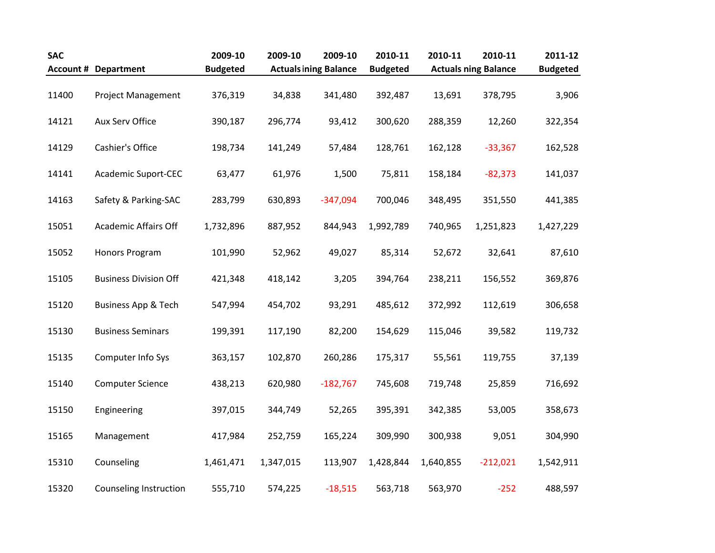| <b>SAC</b> |                                | 2009-10         | 2009-10   | 2009-10                      | 2010-11         | 2010-11   | 2010-11                     | 2011-12         |
|------------|--------------------------------|-----------------|-----------|------------------------------|-----------------|-----------|-----------------------------|-----------------|
|            | <b>Account # Department</b>    | <b>Budgeted</b> |           | <b>Actuals ining Balance</b> | <b>Budgeted</b> |           | <b>Actuals ning Balance</b> | <b>Budgeted</b> |
| 11400      | <b>Project Management</b>      | 376,319         | 34,838    | 341,480                      | 392,487         | 13,691    | 378,795                     | 3,906           |
| 14121      | Aux Serv Office                | 390,187         | 296,774   | 93,412                       | 300,620         | 288,359   | 12,260                      | 322,354         |
| 14129      | Cashier's Office               | 198,734         | 141,249   | 57,484                       | 128,761         | 162,128   | $-33,367$                   | 162,528         |
| 14141      | <b>Academic Suport-CEC</b>     | 63,477          | 61,976    | 1,500                        | 75,811          | 158,184   | $-82,373$                   | 141,037         |
| 14163      | Safety & Parking-SAC           | 283,799         | 630,893   | $-347,094$                   | 700,046         | 348,495   | 351,550                     | 441,385         |
| 15051      | Academic Affairs Off           | 1,732,896       | 887,952   | 844,943                      | 1,992,789       | 740,965   | 1,251,823                   | 1,427,229       |
| 15052      | Honors Program                 | 101,990         | 52,962    | 49,027                       | 85,314          | 52,672    | 32,641                      | 87,610          |
| 15105      | <b>Business Division Off</b>   | 421,348         | 418,142   | 3,205                        | 394,764         | 238,211   | 156,552                     | 369,876         |
| 15120      | <b>Business App &amp; Tech</b> | 547,994         | 454,702   | 93,291                       | 485,612         | 372,992   | 112,619                     | 306,658         |
| 15130      | <b>Business Seminars</b>       | 199,391         | 117,190   | 82,200                       | 154,629         | 115,046   | 39,582                      | 119,732         |
| 15135      | Computer Info Sys              | 363,157         | 102,870   | 260,286                      | 175,317         | 55,561    | 119,755                     | 37,139          |
| 15140      | <b>Computer Science</b>        | 438,213         | 620,980   | $-182,767$                   | 745,608         | 719,748   | 25,859                      | 716,692         |
| 15150      | Engineering                    | 397,015         | 344,749   | 52,265                       | 395,391         | 342,385   | 53,005                      | 358,673         |
| 15165      | Management                     | 417,984         | 252,759   | 165,224                      | 309,990         | 300,938   | 9,051                       | 304,990         |
| 15310      | Counseling                     | 1,461,471       | 1,347,015 | 113,907                      | 1,428,844       | 1,640,855 | $-212,021$                  | 1,542,911       |
| 15320      | <b>Counseling Instruction</b>  | 555,710         | 574,225   | $-18,515$                    | 563,718         | 563,970   | $-252$                      | 488,597         |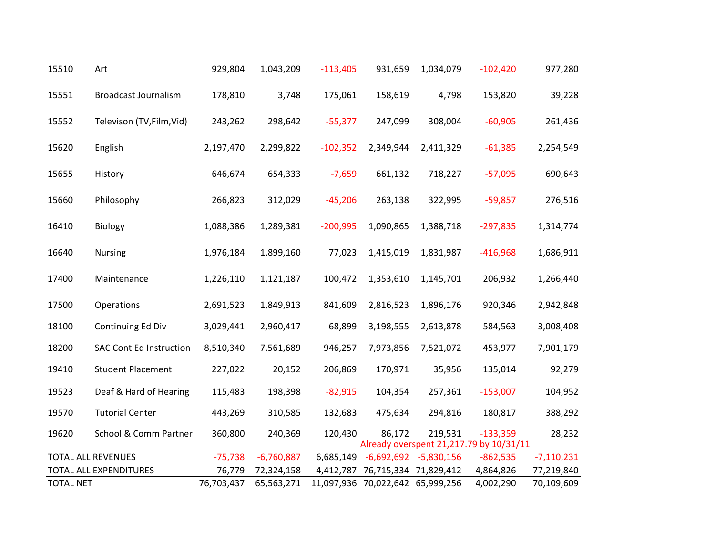| 15510            | Art                            | 929,804    | 1,043,209    | $-113,405$ | 931,659                          | 1,034,079    | $-102,420$                                            | 977,280      |
|------------------|--------------------------------|------------|--------------|------------|----------------------------------|--------------|-------------------------------------------------------|--------------|
| 15551            | <b>Broadcast Journalism</b>    | 178,810    | 3,748        | 175,061    | 158,619                          | 4,798        | 153,820                                               | 39,228       |
| 15552            | Televison (TV, Film, Vid)      | 243,262    | 298,642      | $-55,377$  | 247,099                          | 308,004      | $-60,905$                                             | 261,436      |
| 15620            | English                        | 2,197,470  | 2,299,822    | $-102,352$ | 2,349,944                        | 2,411,329    | $-61,385$                                             | 2,254,549    |
| 15655            | History                        | 646,674    | 654,333      | $-7,659$   | 661,132                          | 718,227      | $-57,095$                                             | 690,643      |
| 15660            | Philosophy                     | 266,823    | 312,029      | $-45,206$  | 263,138                          | 322,995      | $-59,857$                                             | 276,516      |
| 16410            | Biology                        | 1,088,386  | 1,289,381    | $-200,995$ | 1,090,865                        | 1,388,718    | $-297,835$                                            | 1,314,774    |
| 16640            | <b>Nursing</b>                 | 1,976,184  | 1,899,160    | 77,023     | 1,415,019                        | 1,831,987    | $-416,968$                                            | 1,686,911    |
| 17400            | Maintenance                    | 1,226,110  | 1,121,187    | 100,472    | 1,353,610                        | 1,145,701    | 206,932                                               | 1,266,440    |
| 17500            | Operations                     | 2,691,523  | 1,849,913    | 841,609    | 2,816,523                        | 1,896,176    | 920,346                                               | 2,942,848    |
| 18100            | Continuing Ed Div              | 3,029,441  | 2,960,417    | 68,899     | 3,198,555                        | 2,613,878    | 584,563                                               | 3,008,408    |
| 18200            | <b>SAC Cont Ed Instruction</b> | 8,510,340  | 7,561,689    | 946,257    | 7,973,856                        | 7,521,072    | 453,977                                               | 7,901,179    |
| 19410            | <b>Student Placement</b>       | 227,022    | 20,152       | 206,869    | 170,971                          | 35,956       | 135,014                                               | 92,279       |
| 19523            | Deaf & Hard of Hearing         | 115,483    | 198,398      | $-82,915$  | 104,354                          | 257,361      | $-153,007$                                            | 104,952      |
| 19570            | <b>Tutorial Center</b>         | 443,269    | 310,585      | 132,683    | 475,634                          | 294,816      | 180,817                                               | 388,292      |
| 19620            | School & Comm Partner          | 360,800    | 240,369      | 120,430    | 86,172                           | 219,531      | $-133,359$<br>Already overspent 21,217.79 by 10/31/11 | 28,232       |
|                  | <b>TOTAL ALL REVENUES</b>      | $-75,738$  | $-6,760,887$ | 6,685,149  | $-6,692,692$                     | $-5,830,156$ | $-862,535$                                            | $-7,110,231$ |
|                  | <b>TOTAL ALL EXPENDITURES</b>  | 76,779     | 72,324,158   |            | 4,412,787 76,715,334 71,829,412  |              | 4,864,826                                             | 77,219,840   |
| <b>TOTAL NET</b> |                                | 76,703,437 | 65,563,271   |            | 11,097,936 70,022,642 65,999,256 |              | 4,002,290                                             | 70,109,609   |